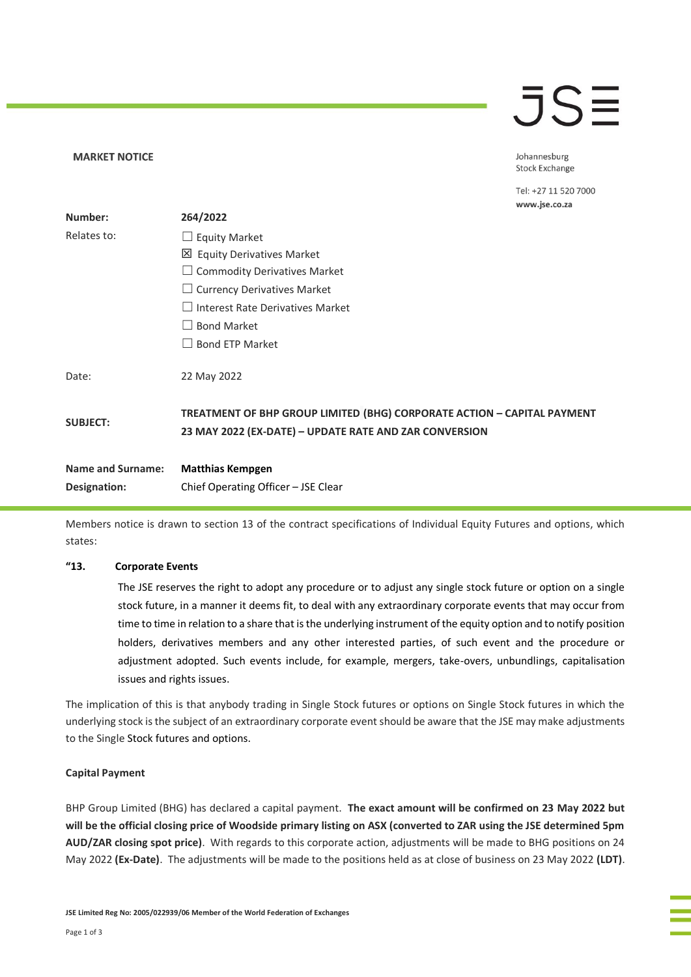### $\overline{\mathcal{J}}$ S $\equiv$

Johannesburg **Stock Exchange** 

Tel: +27 11 520 7000 www.jse.co.za

| Number:                  | 264/2022                                                                                                                          |
|--------------------------|-----------------------------------------------------------------------------------------------------------------------------------|
| Relates to:              | $\Box$ Equity Market                                                                                                              |
|                          | 凶 Equity Derivatives Market                                                                                                       |
|                          | $\Box$ Commodity Derivatives Market                                                                                               |
|                          | $\Box$ Currency Derivatives Market                                                                                                |
|                          | $\Box$ Interest Rate Derivatives Market                                                                                           |
|                          | <b>Bond Market</b>                                                                                                                |
|                          | <b>Bond ETP Market</b>                                                                                                            |
| Date:                    | 22 May 2022                                                                                                                       |
| <b>SUBJECT:</b>          | TREATMENT OF BHP GROUP LIMITED (BHG) CORPORATE ACTION - CAPITAL PAYMENT<br>23 MAY 2022 (EX-DATE) - UPDATE RATE AND ZAR CONVERSION |
| <b>Name and Surname:</b> | <b>Matthias Kempgen</b>                                                                                                           |
| Designation:             | Chief Operating Officer - JSE Clear                                                                                               |

Members notice is drawn to section 13 of the contract specifications of Individual Equity Futures and options, which states:

### **"13. Corporate Events**

**MARKET NOTICE** 

The JSE reserves the right to adopt any procedure or to adjust any single stock future or option on a single stock future, in a manner it deems fit, to deal with any extraordinary corporate events that may occur from time to time in relation to a share that is the underlying instrument of the equity option and to notify position holders, derivatives members and any other interested parties, of such event and the procedure or adjustment adopted. Such events include, for example, mergers, take-overs, unbundlings, capitalisation issues and rights issues.

The implication of this is that anybody trading in Single Stock futures or options on Single Stock futures in which the underlying stock is the subject of an extraordinary corporate event should be aware that the JSE may make adjustments to the Single Stock futures and options.

#### **Capital Payment**

BHP Group Limited (BHG) has declared a capital payment. **The exact amount will be confirmed on 23 May 2022 but will be the official closing price of Woodside primary listing on ASX (converted to ZAR using the JSE determined 5pm AUD/ZAR closing spot price)**. With regards to this corporate action, adjustments will be made to BHG positions on 24 May 2022 **(Ex-Date)**. The adjustments will be made to the positions held as at close of business on 23 May 2022 **(LDT)**.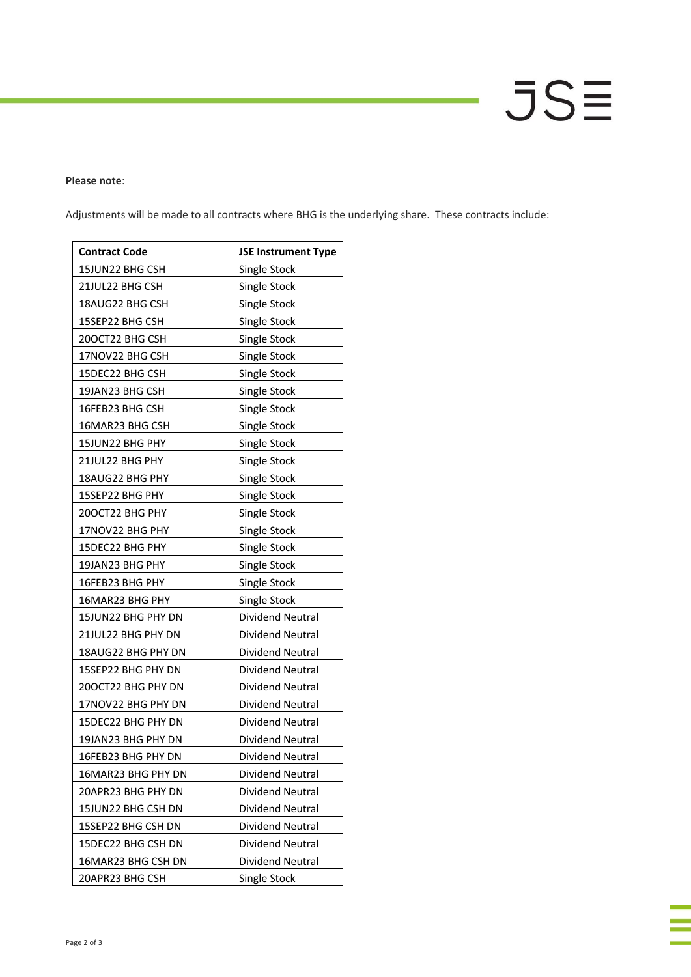# JSΞ

### **Please note**:

Adjustments will be made to all contracts where BHG is the underlying share. These contracts include:

| <b>Contract Code</b> | <b>JSE Instrument Type</b> |
|----------------------|----------------------------|
| 15JUN22 BHG CSH      | Single Stock               |
| 21JUL22 BHG CSH      | Single Stock               |
| 18AUG22 BHG CSH      | Single Stock               |
| 15SEP22 BHG CSH      | Single Stock               |
| 200CT22 BHG CSH      | Single Stock               |
| 17NOV22 BHG CSH      | Single Stock               |
| 15DEC22 BHG CSH      | Single Stock               |
| 19JAN23 BHG CSH      | Single Stock               |
| 16FEB23 BHG CSH      | Single Stock               |
| 16MAR23 BHG CSH      | Single Stock               |
| 15JUN22 BHG PHY      | Single Stock               |
| 21JUL22 BHG PHY      | Single Stock               |
| 18AUG22 BHG PHY      | Single Stock               |
| 15SEP22 BHG PHY      | Single Stock               |
| 20OCT22 BHG PHY      | Single Stock               |
| 17NOV22 BHG PHY      | Single Stock               |
| 15DEC22 BHG PHY      | Single Stock               |
| 19JAN23 BHG PHY      | Single Stock               |
| 16FEB23 BHG PHY      | Single Stock               |
| 16MAR23 BHG PHY      | Single Stock               |
| 15JUN22 BHG PHY DN   | Dividend Neutral           |
| 21JUL22 BHG PHY DN   | Dividend Neutral           |
| 18AUG22 BHG PHY DN   | Dividend Neutral           |
| 15SEP22 BHG PHY DN   | Dividend Neutral           |
| 200CT22 BHG PHY DN   | Dividend Neutral           |
| 17NOV22 BHG PHY DN   | Dividend Neutral           |
| 15DEC22 BHG PHY DN   | Dividend Neutral           |
| 19JAN23 BHG PHY DN   | Dividend Neutral           |
| 16FEB23 BHG PHY DN   | Dividend Neutral           |
| 16MAR23 BHG PHY DN   | Dividend Neutral           |
| 20APR23 BHG PHY DN   | Dividend Neutral           |
| 15JUN22 BHG CSH DN   | Dividend Neutral           |
| 15SEP22 BHG CSH DN   | Dividend Neutral           |
| 15DEC22 BHG CSH DN   | Dividend Neutral           |
| 16MAR23 BHG CSH DN   | Dividend Neutral           |
| 20APR23 BHG CSH      | Single Stock               |